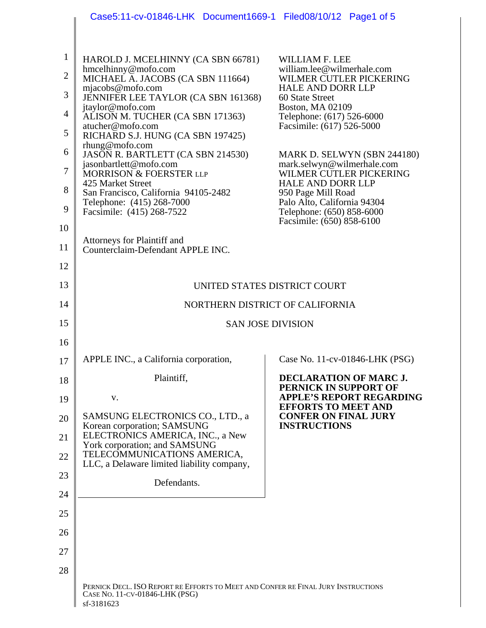|                | Case5:11-cv-01846-LHK Document1669-1 Filed08/10/12 Page1 of 5                                                                     |                                                               |
|----------------|-----------------------------------------------------------------------------------------------------------------------------------|---------------------------------------------------------------|
|                |                                                                                                                                   |                                                               |
| $\mathbf{1}$   | HAROLD J. MCELHINNY (CA SBN 66781)                                                                                                | <b>WILLIAM F. LEE</b>                                         |
| $\overline{2}$ | hmcelhinny@mofo.com<br>MICHAEL A. JACOBS (CA SBN 111664)                                                                          | william.lee@wilmerhale.com<br>WILMER CUTLER PICKERING         |
| 3              | mjacobs@mofo.com<br>JENNIFER LEE TAYLOR (CA SBN 161368)                                                                           | <b>HALE AND DORR LLP</b><br>60 State Street                   |
| $\overline{4}$ | jtaylor@mofo.com<br>ALISON M. TUCHER (CA SBN 171363)                                                                              | <b>Boston, MA 02109</b><br>Telephone: (617) 526-6000          |
| 5              | atucher@mofo.com<br>RICHARD S.J. HUNG (CA SBN 197425)                                                                             | Facsimile: (617) 526-5000                                     |
| 6              | rhung@mofo.com<br>JASON R. BARTLETT (CA SBN 214530)                                                                               | MARK D. SELWYN (SBN 244180)                                   |
| $\overline{7}$ | jasonbartlett@mofo.com<br>MORRISON & FOERSTER LLP                                                                                 | mark.selwyn@wilmerhale.com<br>WILMER CUTLER PICKERING         |
| 8              | 425 Market Street<br>San Francisco, California 94105-2482                                                                         | <b>HALE AND DORR LLP</b><br>950 Page Mill Road                |
| 9              | Telephone: (415) 268-7000<br>Facsimile: (415) 268-7522                                                                            | Palo Alto, California 94304<br>Telephone: (650) 858-6000      |
| 10             |                                                                                                                                   | Facsimile: (650) 858-6100                                     |
| 11             | Attorneys for Plaintiff and<br>Counterclaim-Defendant APPLE INC.                                                                  |                                                               |
| 12             |                                                                                                                                   |                                                               |
| 13             | UNITED STATES DISTRICT COURT                                                                                                      |                                                               |
| 14             | NORTHERN DISTRICT OF CALIFORNIA                                                                                                   |                                                               |
| 15             | <b>SAN JOSE DIVISION</b>                                                                                                          |                                                               |
| 16             |                                                                                                                                   |                                                               |
| 17             | APPLE INC., a California corporation,                                                                                             | Case No. 11-cv-01846-LHK (PSG)                                |
| 18             | Plaintiff,                                                                                                                        | <b>DECLARATION OF MARC J.</b><br>PERNICK IN SUPPORT OF        |
| 19             | V.                                                                                                                                | <b>APPLE'S REPORT REGARDING</b><br><b>EFFORTS TO MEET AND</b> |
| 20             | SAMSUNG ELECTRONICS CO., LTD., a<br>Korean corporation; SAMSUNG                                                                   | <b>CONFER ON FINAL JURY</b><br><b>INSTRUCTIONS</b>            |
| 21             | ELECTRONICS AMERICA, INC., a New<br>York corporation; and SAMSUNG                                                                 |                                                               |
| 22             | TELECOMMUNICATIONS AMERICA,<br>LLC, a Delaware limited liability company,                                                         |                                                               |
| 23             | Defendants.                                                                                                                       |                                                               |
| 24             |                                                                                                                                   |                                                               |
| 25             |                                                                                                                                   |                                                               |
| 26             |                                                                                                                                   |                                                               |
| 27             |                                                                                                                                   |                                                               |
| 28             |                                                                                                                                   |                                                               |
|                | PERNICK DECL. ISO REPORT RE EFFORTS TO MEET AND CONFER RE FINAL JURY INSTRUCTIONS<br>CASE NO. 11-CV-01846-LHK (PSG)<br>sf-3181623 |                                                               |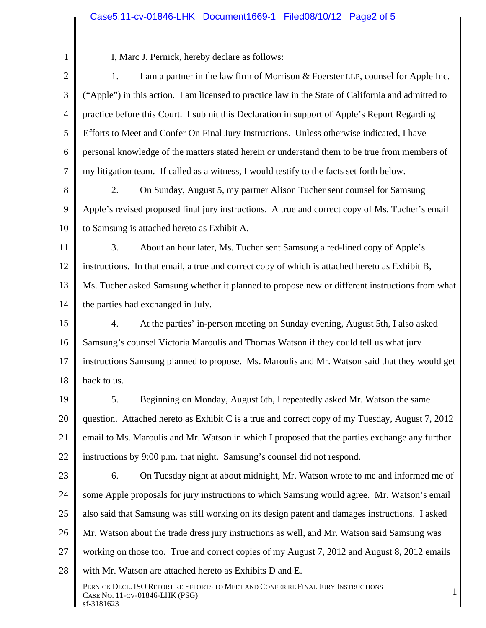## Case5:11-cv-01846-LHK Document1669-1 Filed08/10/12 Page2 of 5

1 2 3 4 5 6 7 8 9 10 11 12 13 14 15 16 17 18 19 20 21 22 23 24 25 26 27 28 PERNICK DECL. ISO REPORT RE EFFORTS TO MEET AND CONFER RE FINAL JURY INSTRUCTIONS TERNICK DECE, ISO KETOKT KE EFFORTS TO MEET AND CONTER RET INALIZERT INSTRUCTIONS 1 sf-3181623 I, Marc J. Pernick, hereby declare as follows: 1. I am a partner in the law firm of Morrison & Foerster LLP, counsel for Apple Inc. ("Apple") in this action. I am licensed to practice law in the State of California and admitted to practice before this Court. I submit this Declaration in support of Apple's Report Regarding Efforts to Meet and Confer On Final Jury Instructions. Unless otherwise indicated, I have personal knowledge of the matters stated herein or understand them to be true from members of my litigation team. If called as a witness, I would testify to the facts set forth below. 2. On Sunday, August 5, my partner Alison Tucher sent counsel for Samsung Apple's revised proposed final jury instructions. A true and correct copy of Ms. Tucher's email to Samsung is attached hereto as Exhibit A. 3. About an hour later, Ms. Tucher sent Samsung a red-lined copy of Apple's instructions. In that email, a true and correct copy of which is attached hereto as Exhibit B, Ms. Tucher asked Samsung whether it planned to propose new or different instructions from what the parties had exchanged in July. 4. At the parties' in-person meeting on Sunday evening, August 5th, I also asked Samsung's counsel Victoria Maroulis and Thomas Watson if they could tell us what jury instructions Samsung planned to propose. Ms. Maroulis and Mr. Watson said that they would get back to us. 5. Beginning on Monday, August 6th, I repeatedly asked Mr. Watson the same question. Attached hereto as Exhibit C is a true and correct copy of my Tuesday, August 7, 2012 email to Ms. Maroulis and Mr. Watson in which I proposed that the parties exchange any further instructions by 9:00 p.m. that night. Samsung's counsel did not respond. 6. On Tuesday night at about midnight, Mr. Watson wrote to me and informed me of some Apple proposals for jury instructions to which Samsung would agree. Mr. Watson's email also said that Samsung was still working on its design patent and damages instructions. I asked Mr. Watson about the trade dress jury instructions as well, and Mr. Watson said Samsung was working on those too. True and correct copies of my August 7, 2012 and August 8, 2012 emails with Mr. Watson are attached hereto as Exhibits D and E.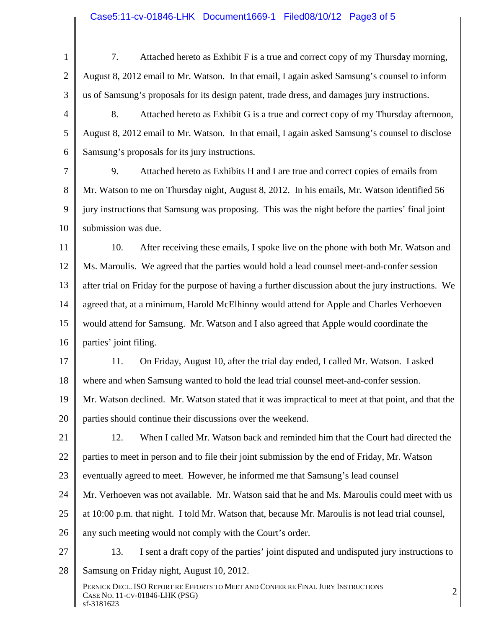1 2 3 4 5 6 7 8 9 10 11 12 13 14 15 16 17 18 19 20 21 22 23 24 25 26 27 28 PERNICK DECL. ISO REPORT RE EFFORTS TO MEET AND CONFER RE FINAL JURY INSTRUCTIONS 2<br>Case No. 11-cv-01846-LHK (PSG) sf-3181623 7. Attached hereto as Exhibit F is a true and correct copy of my Thursday morning, August 8, 2012 email to Mr. Watson. In that email, I again asked Samsung's counsel to inform us of Samsung's proposals for its design patent, trade dress, and damages jury instructions. 8. Attached hereto as Exhibit G is a true and correct copy of my Thursday afternoon, August 8, 2012 email to Mr. Watson. In that email, I again asked Samsung's counsel to disclose Samsung's proposals for its jury instructions. 9. Attached hereto as Exhibits H and I are true and correct copies of emails from Mr. Watson to me on Thursday night, August 8, 2012. In his emails, Mr. Watson identified 56 jury instructions that Samsung was proposing. This was the night before the parties' final joint submission was due. 10. After receiving these emails, I spoke live on the phone with both Mr. Watson and Ms. Maroulis. We agreed that the parties would hold a lead counsel meet-and-confer session after trial on Friday for the purpose of having a further discussion about the jury instructions. We agreed that, at a minimum, Harold McElhinny would attend for Apple and Charles Verhoeven would attend for Samsung. Mr. Watson and I also agreed that Apple would coordinate the parties' joint filing. 11. On Friday, August 10, after the trial day ended, I called Mr. Watson. I asked where and when Samsung wanted to hold the lead trial counsel meet-and-confer session. Mr. Watson declined. Mr. Watson stated that it was impractical to meet at that point, and that the parties should continue their discussions over the weekend. 12. When I called Mr. Watson back and reminded him that the Court had directed the parties to meet in person and to file their joint submission by the end of Friday, Mr. Watson eventually agreed to meet. However, he informed me that Samsung's lead counsel Mr. Verhoeven was not available. Mr. Watson said that he and Ms. Maroulis could meet with us at 10:00 p.m. that night. I told Mr. Watson that, because Mr. Maroulis is not lead trial counsel, any such meeting would not comply with the Court's order. 13. I sent a draft copy of the parties' joint disputed and undisputed jury instructions to Samsung on Friday night, August 10, 2012.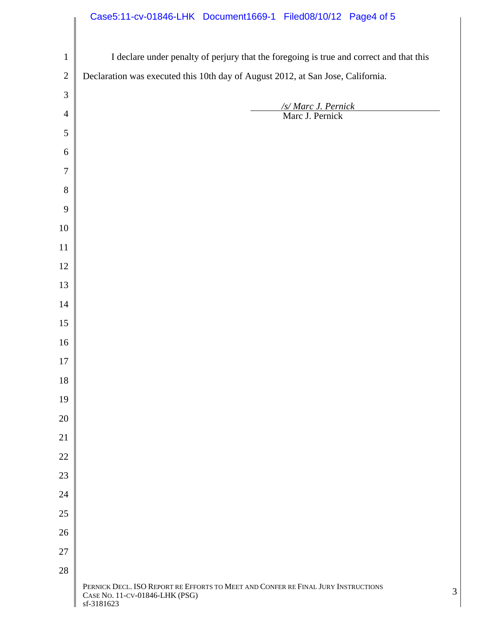## Case5:11-cv-01846-LHK Document1669-1 Filed08/10/12 Page4 of 5

 $\Big\|$ 

| $1\,$          | I declare under penalty of perjury that the foregoing is true and correct and that this                             |   |  |
|----------------|---------------------------------------------------------------------------------------------------------------------|---|--|
| $\mathbf{2}$   | Declaration was executed this 10th day of August 2012, at San Jose, California.                                     |   |  |
| $\mathfrak{Z}$ |                                                                                                                     |   |  |
| $\overline{4}$ | /s/ Marc J. Pernick<br>Marc J. Pernick                                                                              |   |  |
| $\sqrt{5}$     |                                                                                                                     |   |  |
| 6              |                                                                                                                     |   |  |
| $\tau$         |                                                                                                                     |   |  |
| $8\,$          |                                                                                                                     |   |  |
| 9              |                                                                                                                     |   |  |
| $10\,$         |                                                                                                                     |   |  |
| $11\,$         |                                                                                                                     |   |  |
| 12             |                                                                                                                     |   |  |
| 13             |                                                                                                                     |   |  |
| $14\,$         |                                                                                                                     |   |  |
| 15             |                                                                                                                     |   |  |
| 16             |                                                                                                                     |   |  |
| $17\,$         |                                                                                                                     |   |  |
| $18\,$         |                                                                                                                     |   |  |
| 19             |                                                                                                                     |   |  |
| 20             |                                                                                                                     |   |  |
| 21             |                                                                                                                     |   |  |
| 22             |                                                                                                                     |   |  |
| 23             |                                                                                                                     |   |  |
| 24             |                                                                                                                     |   |  |
| 25             |                                                                                                                     |   |  |
| 26             |                                                                                                                     |   |  |
| $27\,$         |                                                                                                                     |   |  |
| $28\,$         |                                                                                                                     |   |  |
|                | PERNICK DECL. ISO REPORT RE EFFORTS TO MEET AND CONFER RE FINAL JURY INSTRUCTIONS<br>CASE NO. 11-CV-01846-LHK (PSG) | 3 |  |